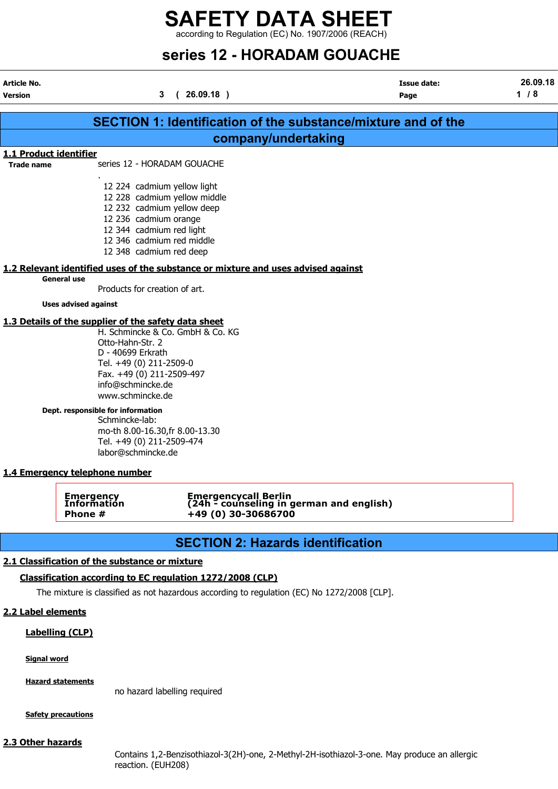according to Regulation (EC) No. 1907/2006 (REACH)

# series 12 - HORADAM GOUACHE

|                                             |                                                                                                                                                                                                | series 12 - HORADAM GOUACHE                                                                 |                                                                      |                 |
|---------------------------------------------|------------------------------------------------------------------------------------------------------------------------------------------------------------------------------------------------|---------------------------------------------------------------------------------------------|----------------------------------------------------------------------|-----------------|
| Article No.<br>Version                      |                                                                                                                                                                                                | (26.09.18)<br>3                                                                             | <b>Issue date:</b><br>Page                                           | 26.09.18<br>1/8 |
|                                             |                                                                                                                                                                                                |                                                                                             | <b>SECTION 1: Identification of the substance/mixture and of the</b> |                 |
|                                             |                                                                                                                                                                                                | company/undertaking                                                                         |                                                                      |                 |
| 1.1 Product identifier<br><b>Trade name</b> | series 12 - HORADAM GOUACHE                                                                                                                                                                    |                                                                                             |                                                                      |                 |
|                                             | 12 224 cadmium yellow light<br>12 232 cadmium yellow deep<br>12 236 cadmium orange<br>12 344 cadmium red light<br>12 346 cadmium red middle<br>12 348 cadmium red deep                         | 12 228 cadmium yellow middle                                                                |                                                                      |                 |
|                                             | <b>General use</b>                                                                                                                                                                             | 1.2 Relevant identified uses of the substance or mixture and uses advised against           |                                                                      |                 |
|                                             | Products for creation of art.                                                                                                                                                                  |                                                                                             |                                                                      |                 |
|                                             | <b>Uses advised against</b>                                                                                                                                                                    |                                                                                             |                                                                      |                 |
|                                             | 1.3 Details of the supplier of the safety data sheet<br>Otto-Hahn-Str. 2<br>D - 40699 Erkrath<br>Tel. +49 (0) 211-2509-0<br>Fax. +49 (0) 211-2509-497<br>info@schmincke.de<br>www.schmincke.de | H. Schmincke & Co. GmbH & Co. KG                                                            |                                                                      |                 |
|                                             | Dept. responsible for information<br>Schmincke-lab:<br>mo-th 8.00-16.30, fr 8.00-13.30<br>Tel. +49 (0) 211-2509-474<br>labor@schmincke.de                                                      |                                                                                             |                                                                      |                 |
|                                             | 1.4 Emergency telephone number                                                                                                                                                                 |                                                                                             |                                                                      |                 |
|                                             | <b>Emergency</b><br>Information<br>Phone #                                                                                                                                                     | Emergencycall Berlin<br>(24h - counseling in german and english)<br>+49 (0) 30-30686700     |                                                                      |                 |
|                                             |                                                                                                                                                                                                | <b>SECTION 2: Hazards identification</b>                                                    |                                                                      |                 |
|                                             | 2.1 Classification of the substance or mixture                                                                                                                                                 | Classification according to EC regulation 1272/2008 (CLP)                                   |                                                                      |                 |
|                                             |                                                                                                                                                                                                | The mixture is classified as not hazardous according to regulation (EC) No 1272/2008 [CLP]. |                                                                      |                 |

#### 2.2 Label elements

i<br>I

#### Labelling (CLP)

Signal word

Hazard statements

no hazard labelling required

**Safety precautions** 

#### 2.3 Other hazards

Contains 1,2-Benzisothiazol-3(2H)-one, 2-Methyl-2H-isothiazol-3-one. May produce an allergic reaction. (EUH208)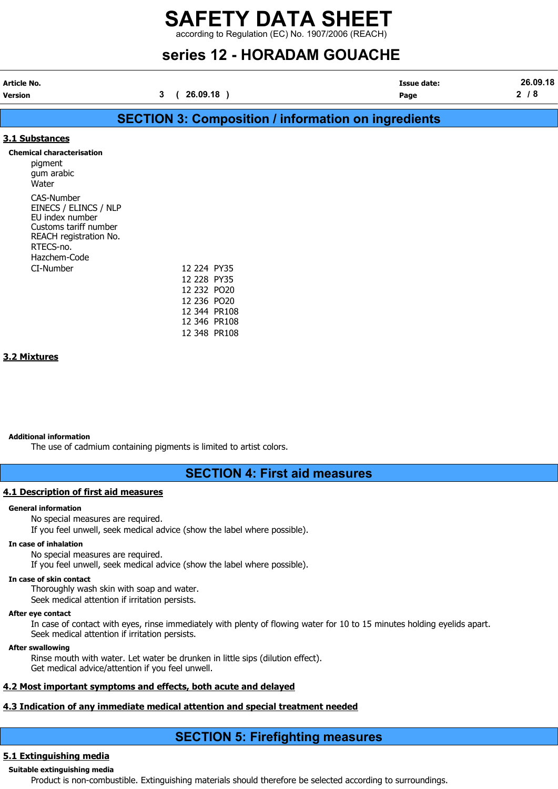according to Regulation (EC) No. 1907/2006 (REACH)

# series 12 - HORADAM GOUACHE

| <b>Article No.</b> | Issue date: | 26.09.18 |
|--------------------|-------------|----------|

Version 3 ( 26.09.18 ) Page 2 / 8

# SECTION 3: Composition / information on ingredients

#### 3.1 Substances

#### Chemical characterisation

pigment gum arabic Water CAS-Number EINECS / ELINCS / NLP EU index number Customs tariff number REACH registration No. RTECS-no. Hazchem-Code CI-Number

| 12 224 PY35  |       |
|--------------|-------|
| 12 228       | PY35  |
| 12 232 PO20  |       |
| 12 236       | PO20  |
| 12 344       | PR108 |
| 12 346       | PR108 |
| 12 348 PR108 |       |

#### 3.2 Mixtures

#### Additional information

The use of cadmium containing pigments is limited to artist colors.

### SECTION 4: First aid measures

#### 4.1 Description of first aid measures

#### General information

No special measures are required.

If you feel unwell, seek medical advice (show the label where possible).

#### In case of inhalation

No special measures are required.

If you feel unwell, seek medical advice (show the label where possible).

#### In case of skin contact

Thoroughly wash skin with soap and water.

Seek medical attention if irritation persists.

#### After eye contact

In case of contact with eyes, rinse immediately with plenty of flowing water for 10 to 15 minutes holding eyelids apart. Seek medical attention if irritation persists.

#### After swallowing

Rinse mouth with water. Let water be drunken in little sips (dilution effect). Get medical advice/attention if you feel unwell.

#### 4.2 Most important symptoms and effects, both acute and delayed

#### 4.3 Indication of any immediate medical attention and special treatment needed

## SECTION 5: Firefighting measures

#### 5.1 Extinguishing media

# Suitable extinguishing media

Product is non-combustible. Extinguishing materials should therefore be selected according to surroundings.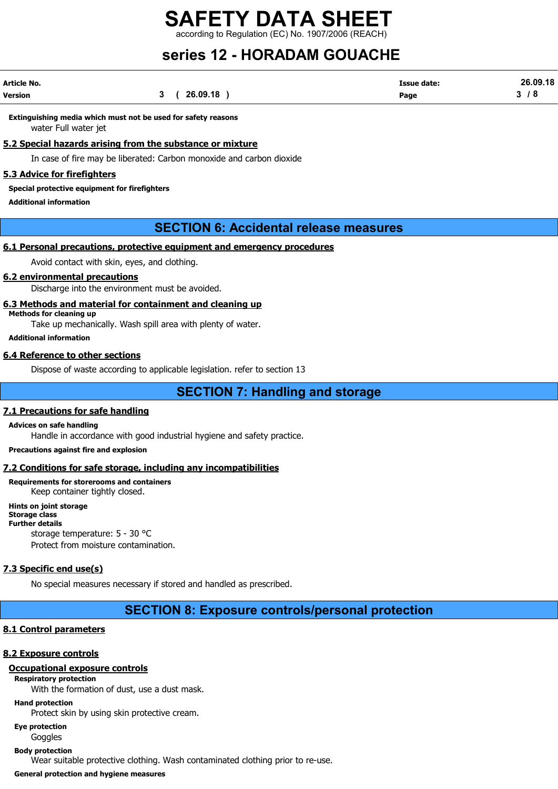rding to Regulation (EC) No. 1907/2006 (REACH)

# series 12 - HORADAM GOUACHE

| Article No. |              | Issue date: | 26.09.18 |
|-------------|--------------|-------------|----------|
| Version     | 26.09.18<br> | Page        |          |

Extinguishing media which must not be used for safety reasons water Full water jet

#### 5.2 Special hazards arising from the substance or mixture

In case of fire may be liberated: Carbon monoxide and carbon dioxide

#### 5.3 Advice for firefighters

Special protective equipment for firefighters

Additional information

### SECTION 6: Accidental release measures

#### 6.1 Personal precautions, protective equipment and emergency procedures

Avoid contact with skin, eyes, and clothing.

#### 6.2 environmental precautions

Discharge into the environment must be avoided.

#### 6.3 Methods and material for containment and cleaning up

Methods for cleaning up

Take up mechanically. Wash spill area with plenty of water.

Additional information

#### 6.4 Reference to other sections

Dispose of waste according to applicable legislation. refer to section 13

SECTION 7: Handling and storage

#### 7.1 Precautions for safe handling

Advices on safe handling

Handle in accordance with good industrial hygiene and safety practice.

Precautions against fire and explosion

#### 7.2 Conditions for safe storage, including any incompatibilities

Requirements for storerooms and containers Keep container tightly closed.

Hints on joint storage Storage class Further details storage temperature: 5 - 30 °C Protect from moisture contamination.

### 7.3 Specific end use(s)

No special measures necessary if stored and handled as prescribed.

## SECTION 8: Exposure controls/personal protection

#### 8.1 Control parameters

#### 8.2 Exposure controls

### Occupational exposure controls

Respiratory protection

With the formation of dust, use a dust mask.

#### Hand protection

Protect skin by using skin protective cream.

Eye protection

Goggles

Body protection

Wear suitable protective clothing. Wash contaminated clothing prior to re-use.

General protection and hygiene measures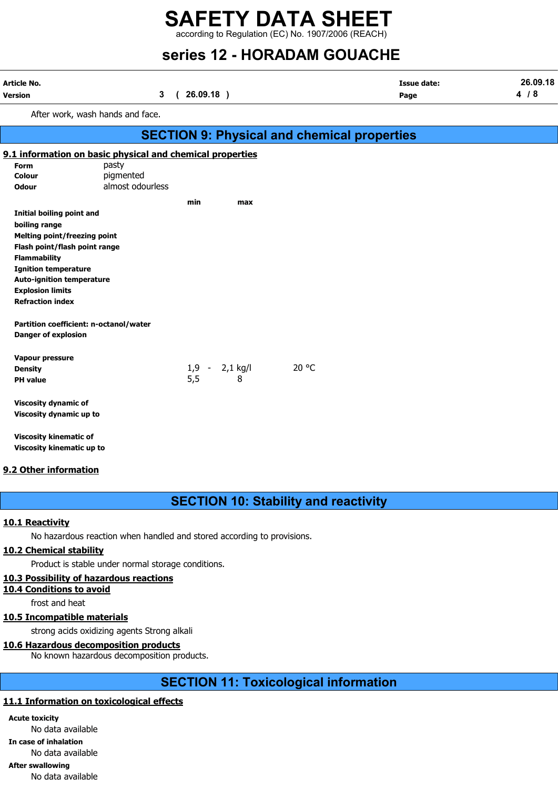according to Regulation (EC) No. 1907/2006 (REACH)

# series 12 - HORADAM GOUACHE

| Article No.<br>Version              | 3                                                         | 26.09.18)<br>$\epsilon$ |                      |                                                    | <b>Issue date:</b><br>Page | 26.09.18<br>4/8 |
|-------------------------------------|-----------------------------------------------------------|-------------------------|----------------------|----------------------------------------------------|----------------------------|-----------------|
|                                     | After work, wash hands and face.                          |                         |                      |                                                    |                            |                 |
|                                     |                                                           |                         |                      | <b>SECTION 9: Physical and chemical properties</b> |                            |                 |
|                                     | 9.1 information on basic physical and chemical properties |                         |                      |                                                    |                            |                 |
| <b>Form</b>                         | pasty                                                     |                         |                      |                                                    |                            |                 |
| <b>Colour</b>                       | pigmented                                                 |                         |                      |                                                    |                            |                 |
| <b>Odour</b>                        | almost odourless                                          |                         |                      |                                                    |                            |                 |
|                                     |                                                           | min                     | max                  |                                                    |                            |                 |
| <b>Initial boiling point and</b>    |                                                           |                         |                      |                                                    |                            |                 |
| boiling range                       |                                                           |                         |                      |                                                    |                            |                 |
| <b>Melting point/freezing point</b> |                                                           |                         |                      |                                                    |                            |                 |
| Flash point/flash point range       |                                                           |                         |                      |                                                    |                            |                 |
| <b>Flammability</b>                 |                                                           |                         |                      |                                                    |                            |                 |
| <b>Ignition temperature</b>         |                                                           |                         |                      |                                                    |                            |                 |
| <b>Auto-ignition temperature</b>    |                                                           |                         |                      |                                                    |                            |                 |
| <b>Explosion limits</b>             |                                                           |                         |                      |                                                    |                            |                 |
| <b>Refraction index</b>             |                                                           |                         |                      |                                                    |                            |                 |
|                                     | Partition coefficient: n-octanol/water                    |                         |                      |                                                    |                            |                 |
| <b>Danger of explosion</b>          |                                                           |                         |                      |                                                    |                            |                 |
| Vapour pressure                     |                                                           |                         |                      |                                                    |                            |                 |
| <b>Density</b>                      |                                                           | 1,9                     | $2,1$ kg/l<br>$\sim$ | 20 °C                                              |                            |                 |
| <b>PH</b> value                     |                                                           | 5,5                     | 8                    |                                                    |                            |                 |
| <b>Viscosity dynamic of</b>         |                                                           |                         |                      |                                                    |                            |                 |
| Viscosity dynamic up to             |                                                           |                         |                      |                                                    |                            |                 |
|                                     |                                                           |                         |                      |                                                    |                            |                 |

Viscosity kinematic of Viscosity kinematic up to

#### 9.2 Other information

## SECTION 10: Stability and reactivity

#### 10.1 Reactivity

No hazardous reaction when handled and stored according to provisions.

#### 10.2 Chemical stability

Product is stable under normal storage conditions.

#### 10.3 Possibility of hazardous reactions

10.4 Conditions to avoid

frost and heat

#### 10.5 Incompatible materials

strong acids oxidizing agents Strong alkali

#### 10.6 Hazardous decomposition products

No known hazardous decomposition products.

## SECTION 11: Toxicological information

#### 11.1 Information on toxicological effects

Acute toxicity No data available In case of inhalation No data available After swallowing No data available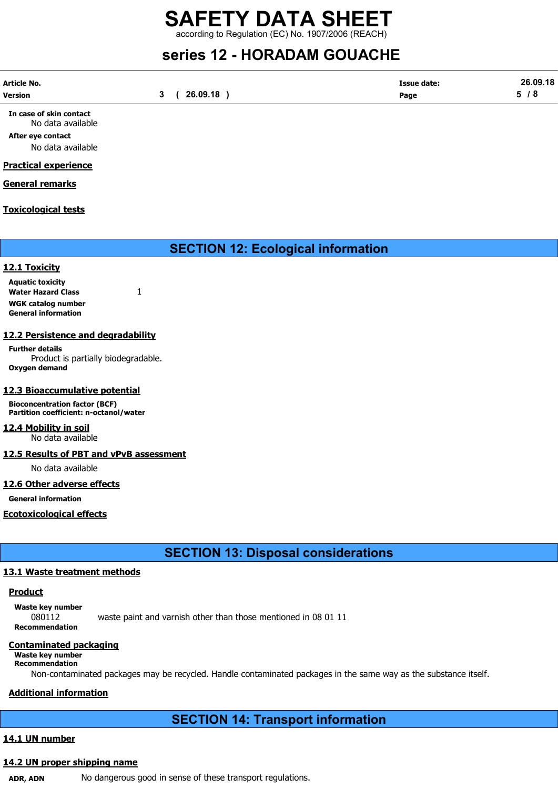according to Regulation (EC) No. 1907/2006 (REACH)

# series 12 - HORADAM GOUACHE

| Article No. |          | <b>Issue date:</b> | 26.09.18 |
|-------------|----------|--------------------|----------|
| Version     | 26.09.18 | Page               | -<br>o   |

In case of skin contact No data available

After eye contact No data available

#### Practical experience

General remarks

#### Toxicological tests

SECTION 12: Ecological information

#### 12.1 Toxicity

Aquatic toxicity Water Hazard Class 1 WGK catalog number General information

#### 12.2 Persistence and degradability

Further details Product is partially biodegradable. Oxygen demand

#### 12.3 Bioaccumulative potential

Bioconcentration factor (BCF) Partition coefficient: n-octanol/water

12.4 Mobility in soil No data available

12.5 Results of PBT and vPvB assessment

No data available

#### 12.6 Other adverse effects

General information

#### Ecotoxicological effects

SECTION 13: Disposal considerations

### 13.1 Waste treatment methods

#### Product

Waste key number

080112 waste paint and varnish other than those mentioned in 08 01 11 Recommendation

#### Contaminated packaging

#### Waste key number Recommendation

Non-contaminated packages may be recycled. Handle contaminated packages in the same way as the substance itself.

### Additional information

# SECTION 14: Transport information

### 14.1 UN number

### 14.2 UN proper shipping name

ADR, ADN No dangerous good in sense of these transport regulations.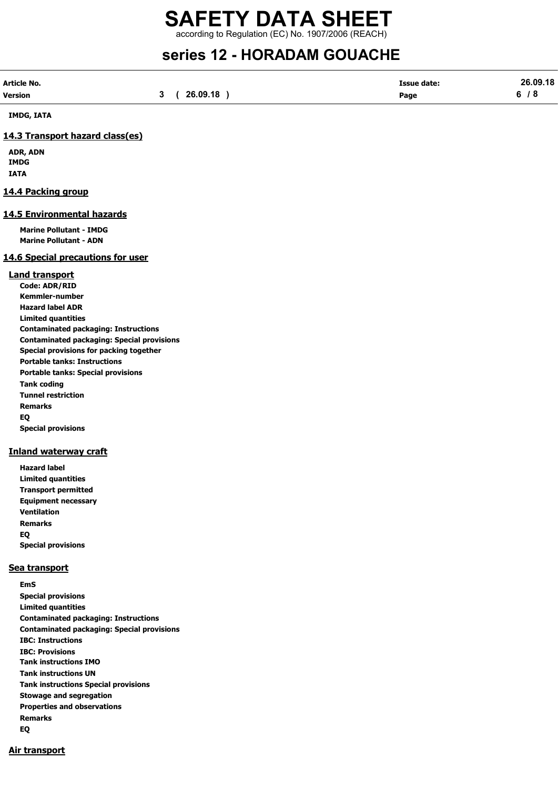according to Regulation (EC) No. 1907/2006 (REACH)

# series 12 - HORADAM GOUACHE

| Article No.    |             | <b>Issue date:</b> | 26.09.18 |
|----------------|-------------|--------------------|----------|
| <b>Version</b> | 3(26.09.18) | Page               | 6/8      |

IMDG, IATA

#### 14.3 Transport hazard class(es)

ADR, ADN IMDG IATA

#### 14.4 Packing group

#### 14.5 Environmental hazards

Marine Pollutant - IMDG Marine Pollutant - ADN

#### 14.6 Special precautions for user

#### Land transport

Code: ADR/RID Kemmler-number Hazard label ADR Limited quantities Contaminated packaging: Instructions Contaminated packaging: Special provisions Special provisions for packing together Portable tanks: Instructions Portable tanks: Special provisions Tank coding Tunnel restriction Remarks EQ Special provisions

#### Inland waterway craft

Hazard label Limited quantities Transport permitted Equipment necessary Ventilation Remarks EQ Special provisions

#### Sea transport

EmS Special provisions Limited quantities Contaminated packaging: Instructions Contaminated packaging: Special provisions IBC: Instructions IBC: Provisions Tank instructions IMO Tank instructions UN Tank instructions Special provisions Stowage and segregation Properties and observations Remarks EQ

#### Air transport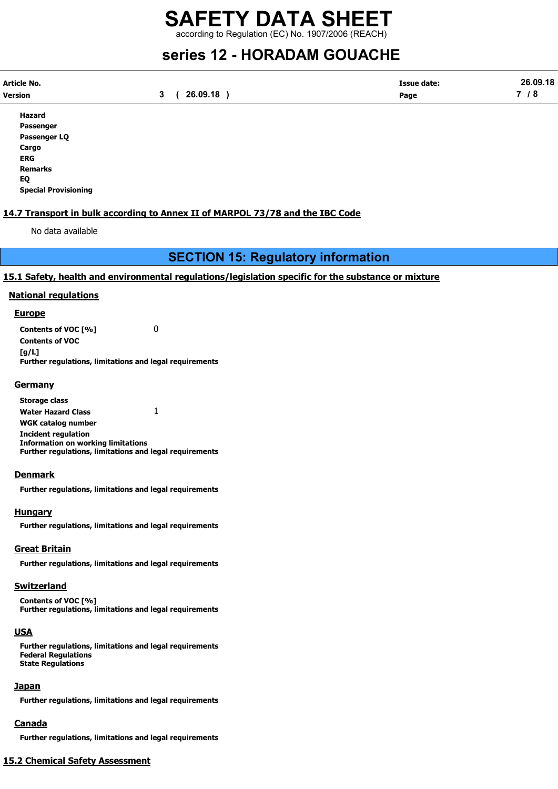according to Regulation (EC) No. 1907/2006 (REACH)

# series 12 - HORADAM GOUACHE

| Article No. |          | <b>Issue date:</b> | 26.09.18 |
|-------------|----------|--------------------|----------|
| Version     | 26.09.18 | Page               | -        |

Hazard Passenger Passenger LQ Cargo ERG Remarks EQ Special Provisioning

#### 14.7 Transport in bulk according to Annex II of MARPOL 73/78 and the IBC Code

No data available

## SECTION 15: Regulatory information

#### 15.1 Safety, health and environmental regulations/legislation specific for the substance or mixture

#### National regulations

#### **Europe**

Contents of VOC [%] 0 Contents of VOC [g/L] Further regulations, limitations and legal requirements

#### **Germany**

Storage class Water Hazard Class 1 WGK catalog number Incident regulation Information on working limitations Further regulations, limitations and legal requirements

#### **Denmark**

Further regulations, limitations and legal requirements

#### Hungary

Further regulations, limitations and legal requirements

#### Great Britain

Further regulations, limitations and legal requirements

#### **Switzerland**

Contents of VOC [%] Further regulations, limitations and legal requirements

#### **USA**

Further regulations, limitations and legal requirements Federal Regulations State Regulations

#### Japan

Further regulations, limitations and legal requirements

#### Canada

Further regulations, limitations and legal requirements

## 15.2 Chemical Safety Assessment